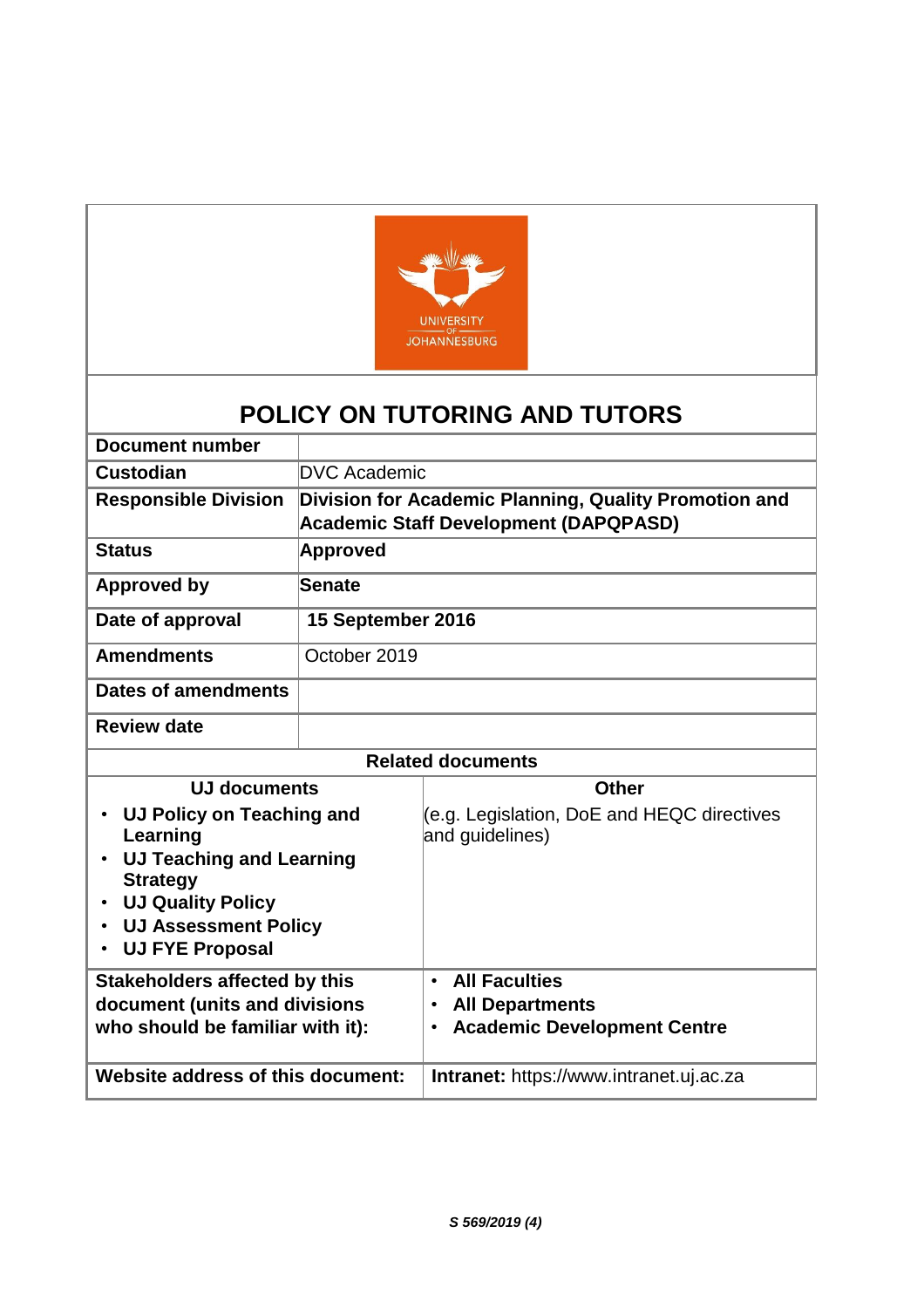

# **POLICY ON TUTORING AND TUTORS**

| <b>Document number</b>                                                                                                                                                                        |                     |                                                                                                                             |  |  |
|-----------------------------------------------------------------------------------------------------------------------------------------------------------------------------------------------|---------------------|-----------------------------------------------------------------------------------------------------------------------------|--|--|
| <b>Custodian</b>                                                                                                                                                                              | <b>DVC Academic</b> |                                                                                                                             |  |  |
| <b>Responsible Division</b>                                                                                                                                                                   |                     | Division for Academic Planning, Quality Promotion and<br><b>Academic Staff Development (DAPQPASD)</b>                       |  |  |
| <b>Status</b>                                                                                                                                                                                 | Approved            |                                                                                                                             |  |  |
| <b>Approved by</b>                                                                                                                                                                            | Senate              |                                                                                                                             |  |  |
| Date of approval                                                                                                                                                                              | 15 September 2016   |                                                                                                                             |  |  |
| <b>Amendments</b>                                                                                                                                                                             | October 2019        |                                                                                                                             |  |  |
| <b>Dates of amendments</b>                                                                                                                                                                    |                     |                                                                                                                             |  |  |
| <b>Review date</b>                                                                                                                                                                            |                     |                                                                                                                             |  |  |
| <b>Related documents</b>                                                                                                                                                                      |                     |                                                                                                                             |  |  |
| <b>UJ documents</b>                                                                                                                                                                           |                     | <b>Other</b>                                                                                                                |  |  |
| UJ Policy on Teaching and<br>Learning<br><b>UJ Teaching and Learning</b><br><b>Strategy</b><br><b>UJ Quality Policy</b><br><b>UJ Assessment Policy</b><br>$\bullet$<br><b>UJ FYE Proposal</b> |                     | (e.g. Legislation, DoE and HEQC directives<br>and guidelines)                                                               |  |  |
| <b>Stakeholders affected by this</b><br>document (units and divisions<br>who should be familiar with it):                                                                                     |                     | <b>All Faculties</b><br>$\bullet$<br><b>All Departments</b><br>$\bullet$<br><b>Academic Development Centre</b><br>$\bullet$ |  |  |
| Website address of this document:                                                                                                                                                             |                     | Intranet: https://www.intranet.uj.ac.za                                                                                     |  |  |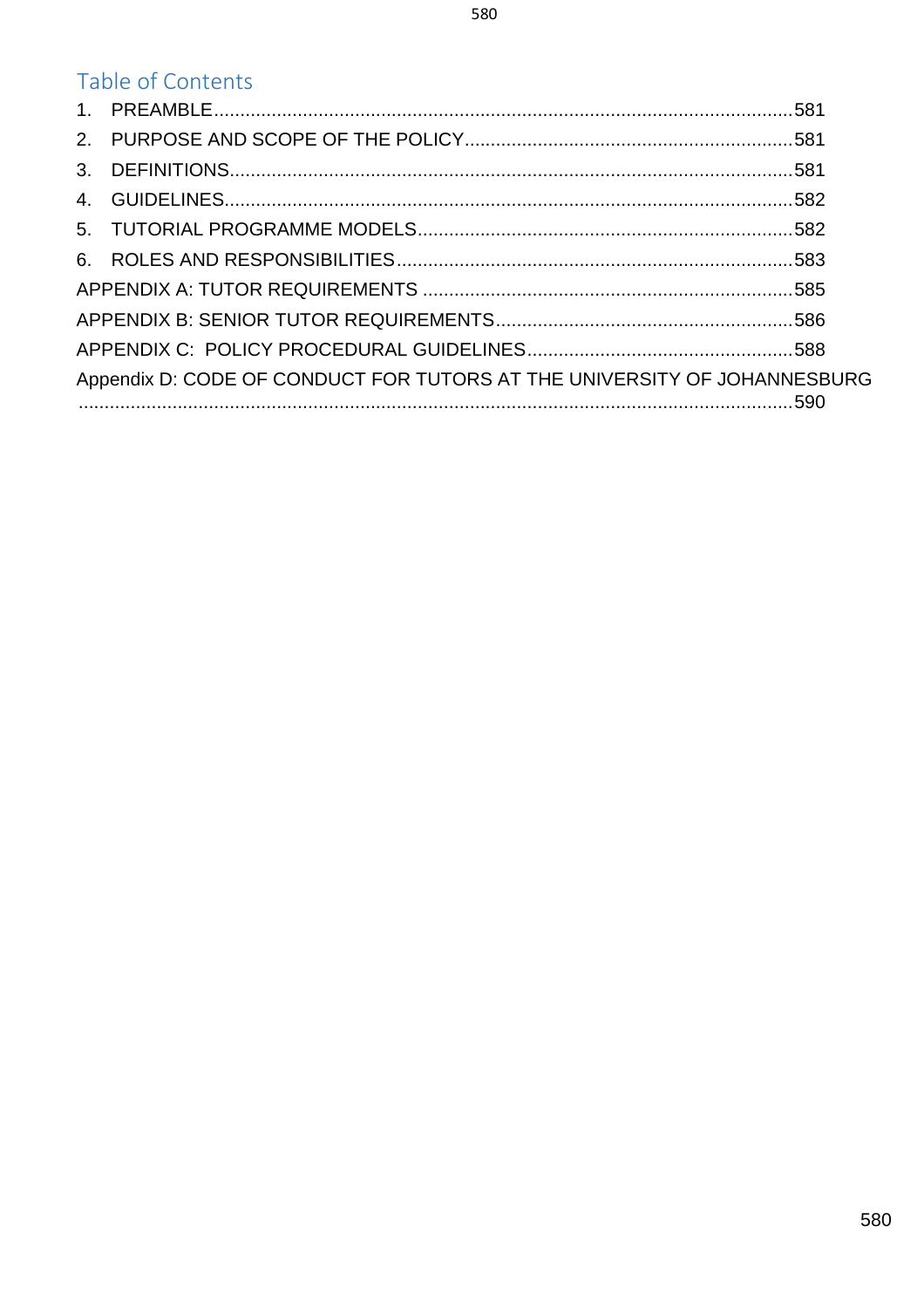| Table of Contents                                                        |  |
|--------------------------------------------------------------------------|--|
|                                                                          |  |
|                                                                          |  |
|                                                                          |  |
|                                                                          |  |
|                                                                          |  |
|                                                                          |  |
|                                                                          |  |
|                                                                          |  |
|                                                                          |  |
| Appendix D: CODE OF CONDUCT FOR TUTORS AT THE UNIVERSITY OF JOHANNESBURG |  |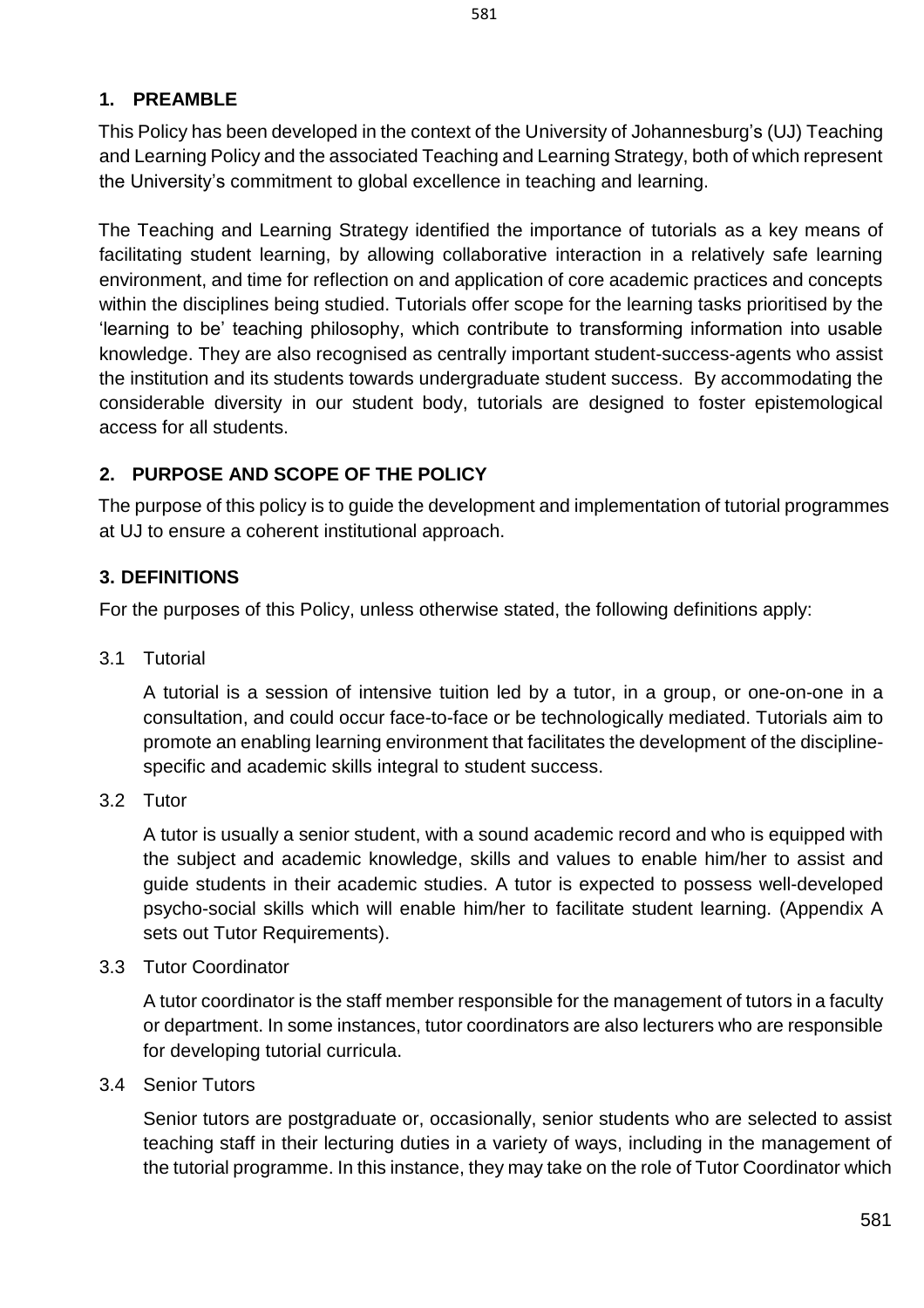### <span id="page-2-0"></span>**1. PREAMBLE**

This Policy has been developed in the context of the University of Johannesburg's (UJ) Teaching and Learning Policy and the associated Teaching and Learning Strategy, both of which represent the University's commitment to global excellence in teaching and learning.

The Teaching and Learning Strategy identified the importance of tutorials as a key means of facilitating student learning, by allowing collaborative interaction in a relatively safe learning environment, and time for reflection on and application of core academic practices and concepts within the disciplines being studied. Tutorials offer scope for the learning tasks prioritised by the 'learning to be' teaching philosophy, which contribute to transforming information into usable knowledge. They are also recognised as centrally important student-success-agents who assist the institution and its students towards undergraduate student success. By accommodating the considerable diversity in our student body, tutorials are designed to foster epistemological access for all students.

### <span id="page-2-1"></span>**2. PURPOSE AND SCOPE OF THE POLICY**

The purpose of this policy is to guide the development and implementation of tutorial programmes at UJ to ensure a coherent institutional approach.

### <span id="page-2-2"></span>**3. DEFINITIONS**

For the purposes of this Policy, unless otherwise stated, the following definitions apply:

3.1 Tutorial

A tutorial is a session of intensive tuition led by a tutor, in a group, or one-on-one in a consultation, and could occur face-to-face or be technologically mediated. Tutorials aim to promote an enabling learning environment that facilitates the development of the disciplinespecific and academic skills integral to student success.

3.2 Tutor

A tutor is usually a senior student, with a sound academic record and who is equipped with the subject and academic knowledge, skills and values to enable him/her to assist and guide students in their academic studies. A tutor is expected to possess well-developed psycho-social skills which will enable him/her to facilitate student learning. (Appendix A sets out Tutor Requirements).

3.3 Tutor Coordinator

A tutor coordinator is the staff member responsible for the management of tutors in a faculty or department. In some instances, tutor coordinators are also lecturers who are responsible for developing tutorial curricula.

3.4 Senior Tutors

Senior tutors are postgraduate or, occasionally, senior students who are selected to assist teaching staff in their lecturing duties in a variety of ways, including in the management of the tutorial programme. In this instance, they may take on the role of Tutor Coordinator which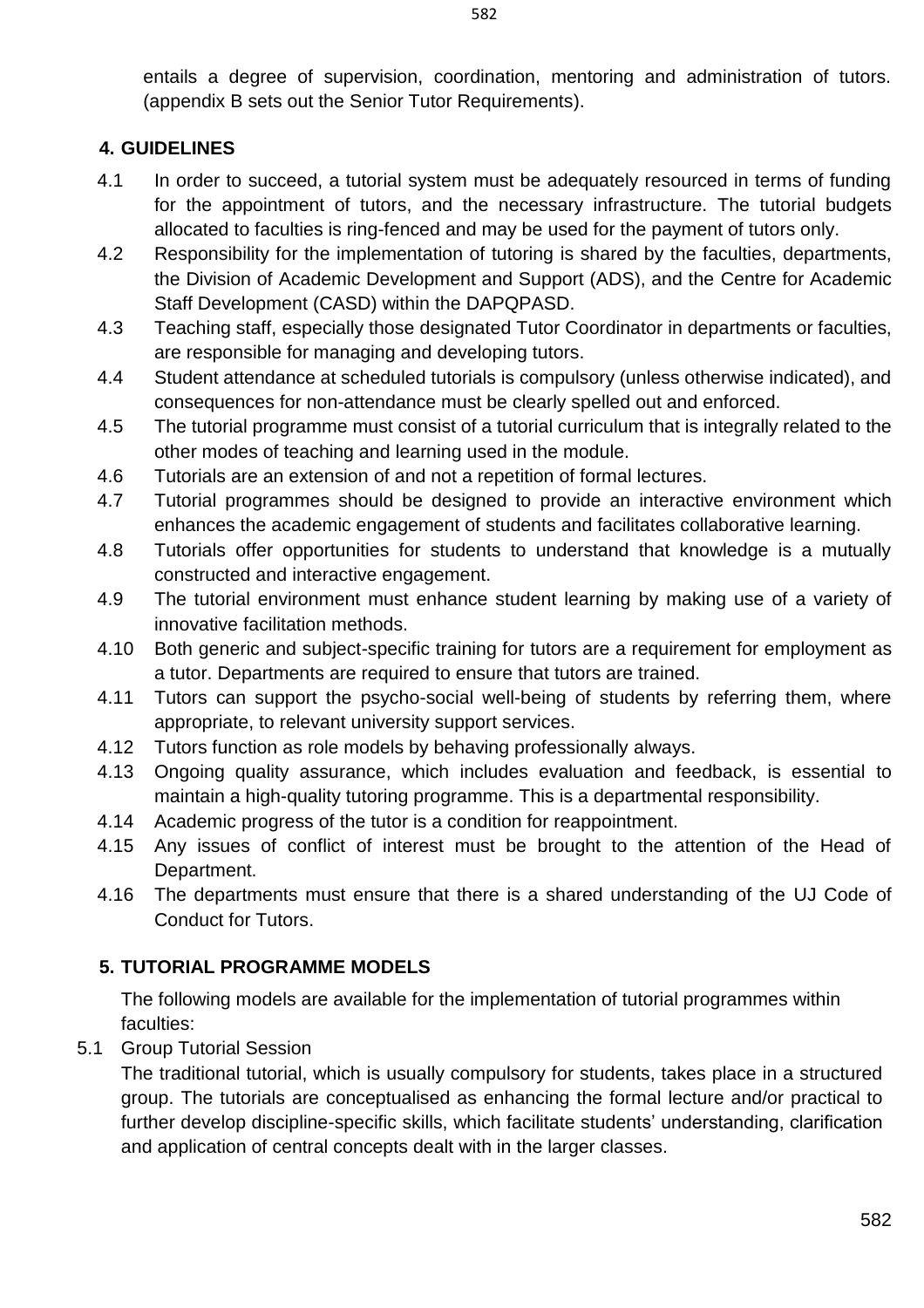entails a degree of supervision, coordination, mentoring and administration of tutors. (appendix B sets out the Senior Tutor Requirements).

### <span id="page-3-0"></span>**4. GUIDELINES**

- 4.1 In order to succeed, a tutorial system must be adequately resourced in terms of funding for the appointment of tutors, and the necessary infrastructure. The tutorial budgets allocated to faculties is ring-fenced and may be used for the payment of tutors only.
- 4.2 Responsibility for the implementation of tutoring is shared by the faculties, departments, the Division of Academic Development and Support (ADS), and the Centre for Academic Staff Development (CASD) within the DAPQPASD.
- 4.3 Teaching staff, especially those designated Tutor Coordinator in departments or faculties, are responsible for managing and developing tutors.
- 4.4 Student attendance at scheduled tutorials is compulsory (unless otherwise indicated), and consequences for non-attendance must be clearly spelled out and enforced.
- 4.5 The tutorial programme must consist of a tutorial curriculum that is integrally related to the other modes of teaching and learning used in the module.
- 4.6 Tutorials are an extension of and not a repetition of formal lectures.
- 4.7 Tutorial programmes should be designed to provide an interactive environment which enhances the academic engagement of students and facilitates collaborative learning.
- 4.8 Tutorials offer opportunities for students to understand that knowledge is a mutually constructed and interactive engagement.
- 4.9 The tutorial environment must enhance student learning by making use of a variety of innovative facilitation methods.
- 4.10 Both generic and subject-specific training for tutors are a requirement for employment as a tutor. Departments are required to ensure that tutors are trained.
- 4.11 Tutors can support the psycho-social well-being of students by referring them, where appropriate, to relevant university support services.
- 4.12 Tutors function as role models by behaving professionally always.
- 4.13 Ongoing quality assurance, which includes evaluation and feedback, is essential to maintain a high-quality tutoring programme. This is a departmental responsibility.
- 4.14 Academic progress of the tutor is a condition for reappointment.
- 4.15 Any issues of conflict of interest must be brought to the attention of the Head of Department.
- 4.16 The departments must ensure that there is a shared understanding of the UJ Code of Conduct for Tutors.

## <span id="page-3-1"></span>**5. TUTORIAL PROGRAMME MODELS**

The following models are available for the implementation of tutorial programmes within faculties:

5.1 Group Tutorial Session

The traditional tutorial, which is usually compulsory for students, takes place in a structured group. The tutorials are conceptualised as enhancing the formal lecture and/or practical to further develop discipline-specific skills, which facilitate students' understanding, clarification and application of central concepts dealt with in the larger classes.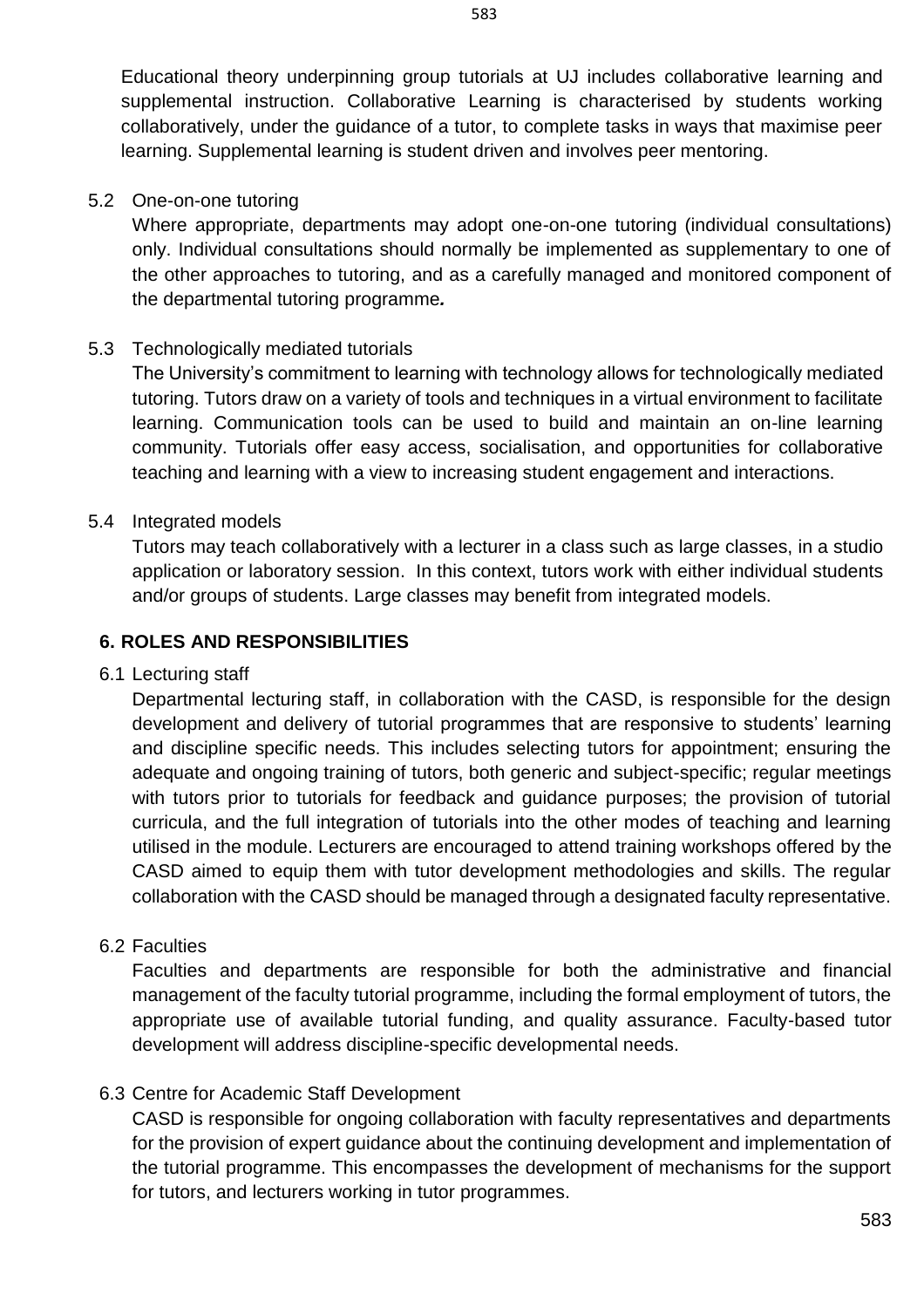Educational theory underpinning group tutorials at UJ includes collaborative learning and supplemental instruction. Collaborative Learning is characterised by students working collaboratively, under the guidance of a tutor, to complete tasks in ways that maximise peer learning. Supplemental learning is student driven and involves peer mentoring.

#### 5.2 One-on-one tutoring

Where appropriate, departments may adopt one-on-one tutoring (individual consultations) only. Individual consultations should normally be implemented as supplementary to one of the other approaches to tutoring, and as a carefully managed and monitored component of the departmental tutoring programme*.*

#### 5.3 Technologically mediated tutorials

The University's commitment to learning with technology allows for technologically mediated tutoring. Tutors draw on a variety of tools and techniques in a virtual environment to facilitate learning. Communication tools can be used to build and maintain an on-line learning community. Tutorials offer easy access, socialisation, and opportunities for collaborative teaching and learning with a view to increasing student engagement and interactions.

#### 5.4 Integrated models

Tutors may teach collaboratively with a lecturer in a class such as large classes, in a studio application or laboratory session. In this context, tutors work with either individual students and/or groups of students. Large classes may benefit from integrated models.

#### <span id="page-4-0"></span>**6. ROLES AND RESPONSIBILITIES**

#### 6.1 Lecturing staff

Departmental lecturing staff, in collaboration with the CASD, is responsible for the design development and delivery of tutorial programmes that are responsive to students' learning and discipline specific needs. This includes selecting tutors for appointment; ensuring the adequate and ongoing training of tutors, both generic and subject-specific; regular meetings with tutors prior to tutorials for feedback and guidance purposes; the provision of tutorial curricula, and the full integration of tutorials into the other modes of teaching and learning utilised in the module. Lecturers are encouraged to attend training workshops offered by the CASD aimed to equip them with tutor development methodologies and skills. The regular collaboration with the CASD should be managed through a designated faculty representative.

#### 6.2 Faculties

Faculties and departments are responsible for both the administrative and financial management of the faculty tutorial programme, including the formal employment of tutors, the appropriate use of available tutorial funding, and quality assurance. Faculty-based tutor development will address discipline-specific developmental needs.

#### 6.3 Centre for Academic Staff Development

CASD is responsible for ongoing collaboration with faculty representatives and departments for the provision of expert guidance about the continuing development and implementation of the tutorial programme. This encompasses the development of mechanisms for the support for tutors, and lecturers working in tutor programmes.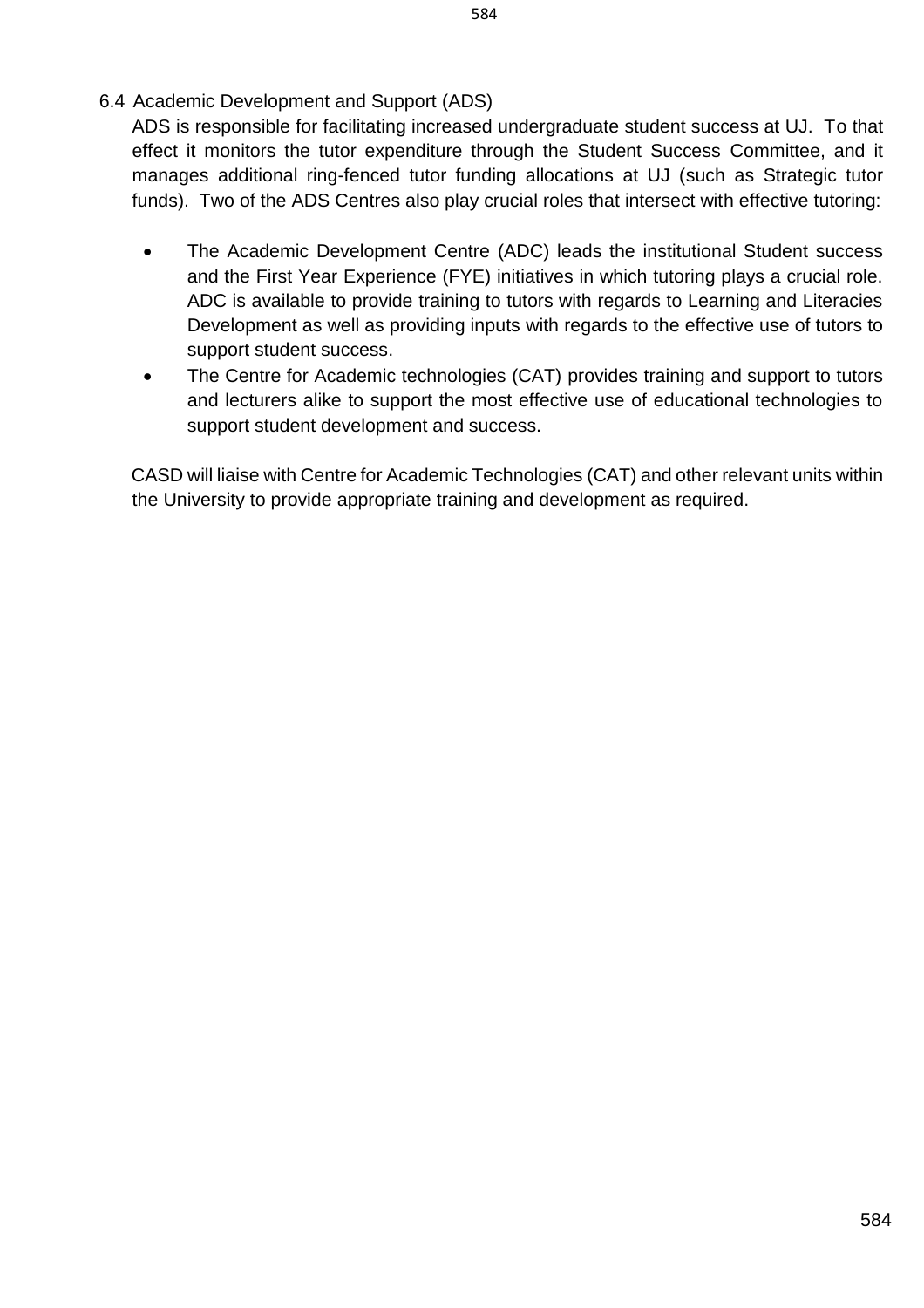ADS is responsible for facilitating increased undergraduate student success at UJ. To that effect it monitors the tutor expenditure through the Student Success Committee, and it manages additional ring-fenced tutor funding allocations at UJ (such as Strategic tutor funds). Two of the ADS Centres also play crucial roles that intersect with effective tutoring:

- The Academic Development Centre (ADC) leads the institutional Student success and the First Year Experience (FYE) initiatives in which tutoring plays a crucial role. ADC is available to provide training to tutors with regards to Learning and Literacies Development as well as providing inputs with regards to the effective use of tutors to support student success.
- The Centre for Academic technologies (CAT) provides training and support to tutors and lecturers alike to support the most effective use of educational technologies to support student development and success.

CASD will liaise with Centre for Academic Technologies (CAT) and other relevant units within the University to provide appropriate training and development as required.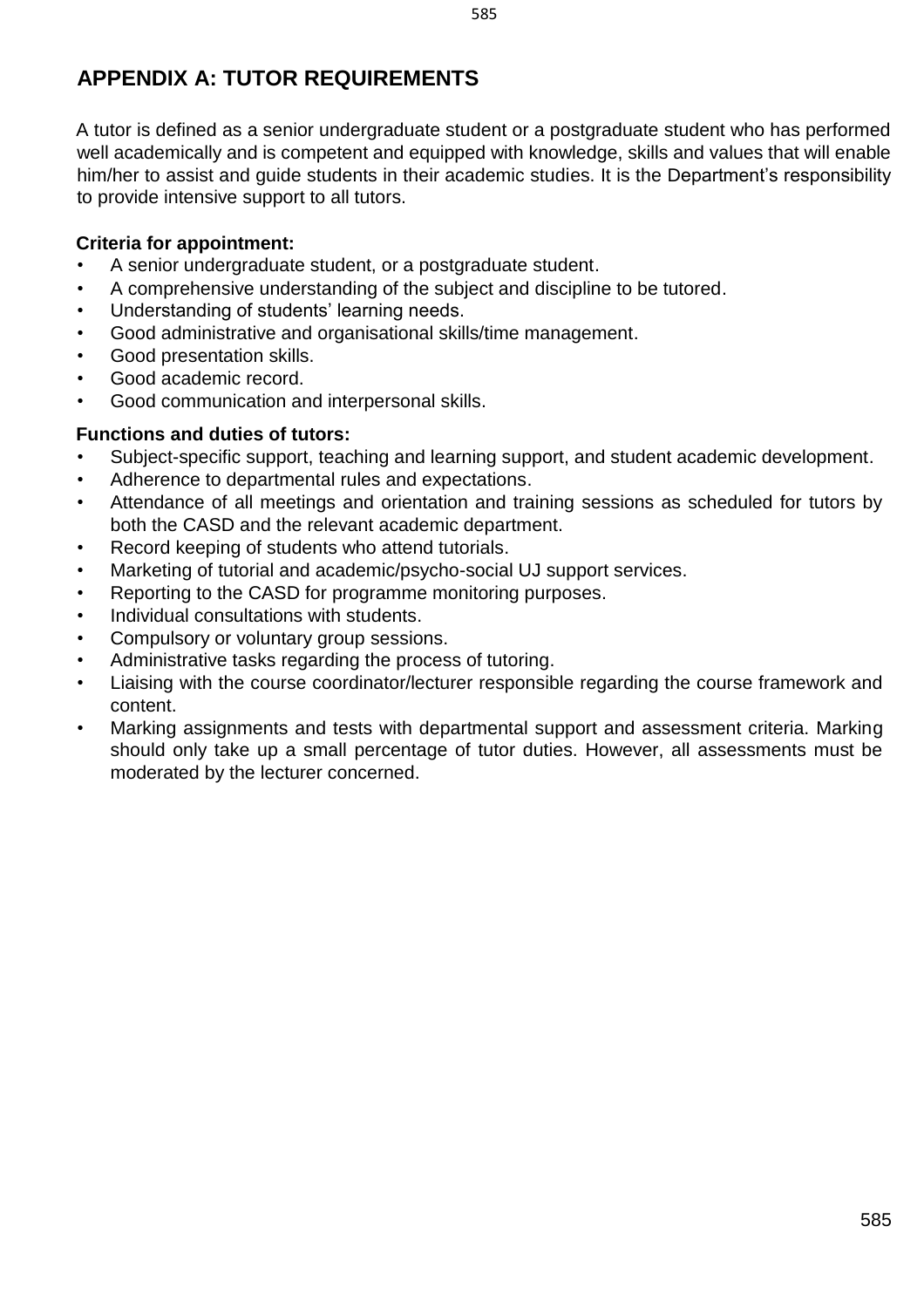# <span id="page-6-0"></span>**APPENDIX A: TUTOR REQUIREMENTS**

A tutor is defined as a senior undergraduate student or a postgraduate student who has performed well academically and is competent and equipped with knowledge, skills and values that will enable him/her to assist and guide students in their academic studies. It is the Department's responsibility to provide intensive support to all tutors.

#### **Criteria for appointment:**

- A senior undergraduate student, or a postgraduate student.
- A comprehensive understanding of the subject and discipline to be tutored.
- Understanding of students' learning needs.
- Good administrative and organisational skills/time management.
- Good presentation skills.
- Good academic record.
- Good communication and interpersonal skills.

#### **Functions and duties of tutors:**

- Subject-specific support, teaching and learning support, and student academic development.
- Adherence to departmental rules and expectations.
- Attendance of all meetings and orientation and training sessions as scheduled for tutors by both the CASD and the relevant academic department.
- Record keeping of students who attend tutorials.
- Marketing of tutorial and academic/psycho-social UJ support services.
- Reporting to the CASD for programme monitoring purposes.
- Individual consultations with students.
- Compulsory or voluntary group sessions.
- Administrative tasks regarding the process of tutoring.
- Liaising with the course coordinator/lecturer responsible regarding the course framework and content.
- Marking assignments and tests with departmental support and assessment criteria. Marking should only take up a small percentage of tutor duties. However, all assessments must be moderated by the lecturer concerned.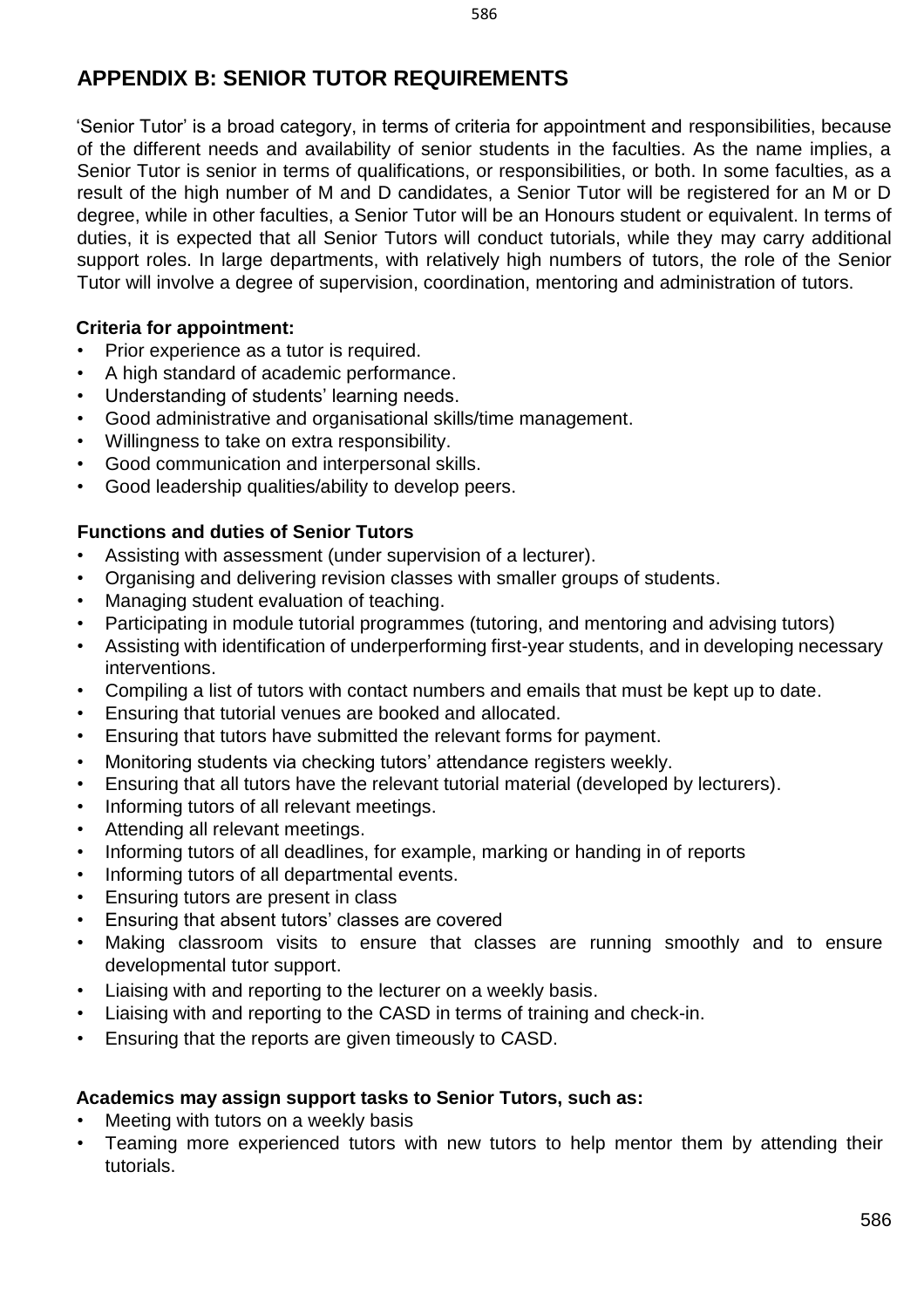# <span id="page-7-0"></span>**APPENDIX B: SENIOR TUTOR REQUIREMENTS**

'Senior Tutor' is a broad category, in terms of criteria for appointment and responsibilities, because of the different needs and availability of senior students in the faculties. As the name implies, a Senior Tutor is senior in terms of qualifications, or responsibilities, or both. In some faculties, as a result of the high number of M and D candidates, a Senior Tutor will be registered for an M or D degree, while in other faculties, a Senior Tutor will be an Honours student or equivalent. In terms of duties, it is expected that all Senior Tutors will conduct tutorials, while they may carry additional support roles. In large departments, with relatively high numbers of tutors, the role of the Senior Tutor will involve a degree of supervision, coordination, mentoring and administration of tutors.

#### **Criteria for appointment:**

- Prior experience as a tutor is required.
- A high standard of academic performance.
- Understanding of students' learning needs.
- Good administrative and organisational skills/time management.
- Willingness to take on extra responsibility.
- Good communication and interpersonal skills.
- Good leadership qualities/ability to develop peers.

#### **Functions and duties of Senior Tutors**

- Assisting with assessment (under supervision of a lecturer).
- Organising and delivering revision classes with smaller groups of students.
- Managing student evaluation of teaching.
- Participating in module tutorial programmes (tutoring, and mentoring and advising tutors)
- Assisting with identification of underperforming first-year students, and in developing necessary interventions.
- Compiling a list of tutors with contact numbers and emails that must be kept up to date.
- Ensuring that tutorial venues are booked and allocated.
- Ensuring that tutors have submitted the relevant forms for payment.
- Monitoring students via checking tutors' attendance registers weekly.
- Ensuring that all tutors have the relevant tutorial material (developed by lecturers).
- Informing tutors of all relevant meetings.
- Attending all relevant meetings.
- Informing tutors of all deadlines, for example, marking or handing in of reports
- Informing tutors of all departmental events.
- Ensuring tutors are present in class
- Ensuring that absent tutors' classes are covered
- Making classroom visits to ensure that classes are running smoothly and to ensure developmental tutor support.
- Liaising with and reporting to the lecturer on a weekly basis.
- Liaising with and reporting to the CASD in terms of training and check-in.
- Ensuring that the reports are given timeously to CASD.

#### **Academics may assign support tasks to Senior Tutors, such as:**

- Meeting with tutors on a weekly basis
- Teaming more experienced tutors with new tutors to help mentor them by attending their tutorials.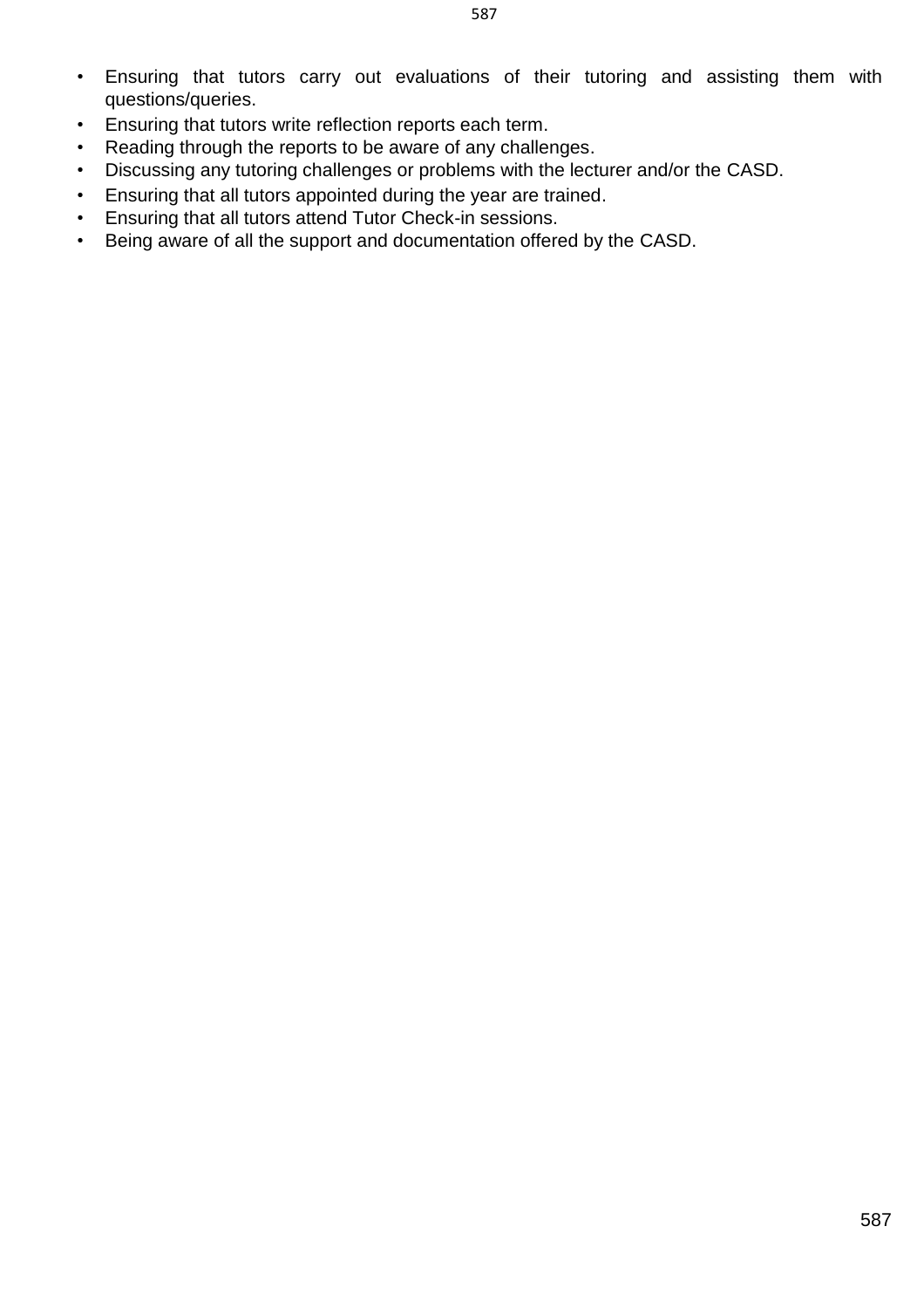587

- Ensuring that tutors carry out evaluations of their tutoring and assisting them with questions/queries.
- Ensuring that tutors write reflection reports each term.
- Reading through the reports to be aware of any challenges.
- Discussing any tutoring challenges or problems with the lecturer and/or the CASD.
- Ensuring that all tutors appointed during the year are trained.
- Ensuring that all tutors attend Tutor Check-in sessions.
- Being aware of all the support and documentation offered by the CASD.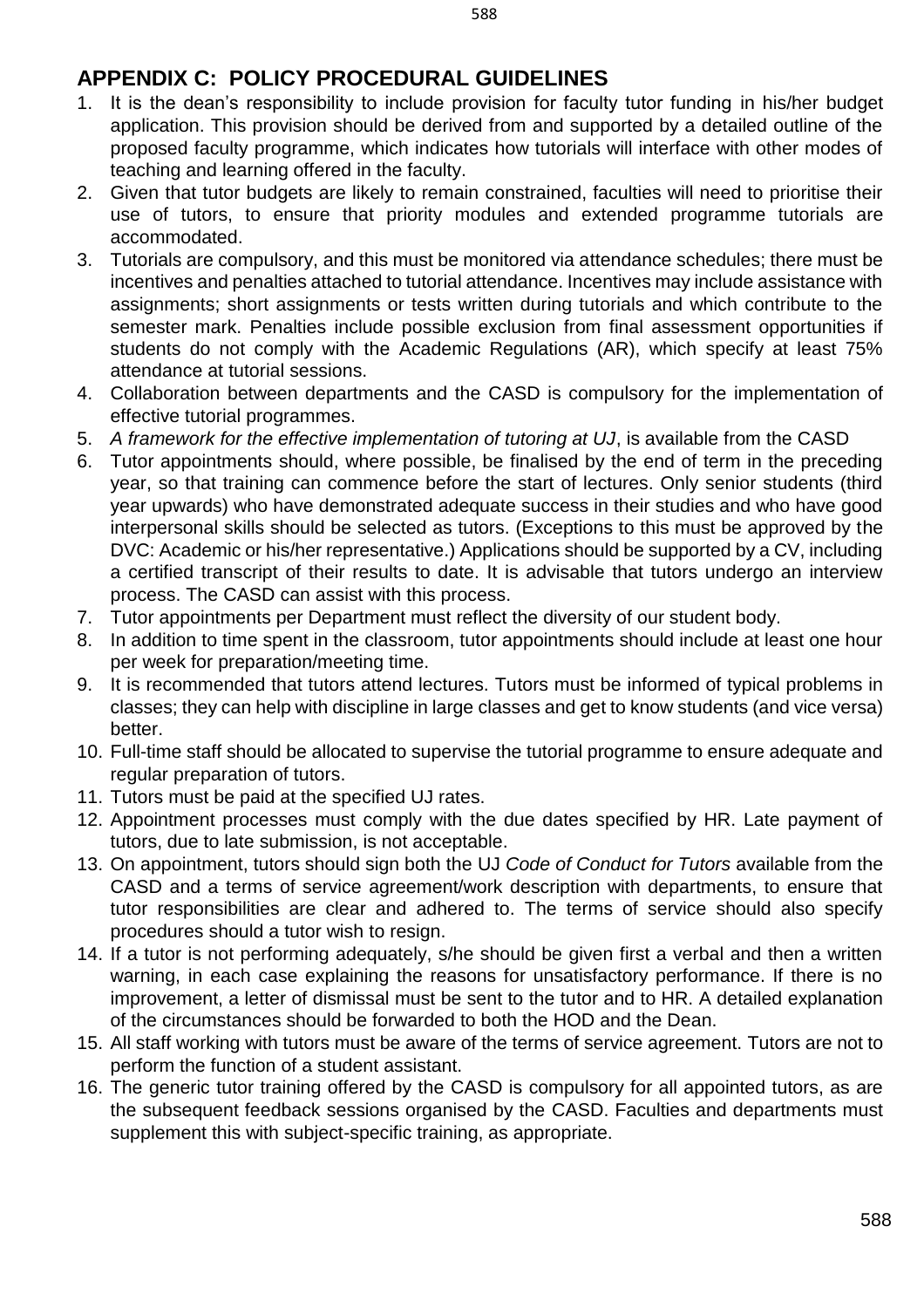- <span id="page-9-0"></span>1. It is the dean's responsibility to include provision for faculty tutor funding in his/her budget application. This provision should be derived from and supported by a detailed outline of the proposed faculty programme, which indicates how tutorials will interface with other modes of teaching and learning offered in the faculty.
- 2. Given that tutor budgets are likely to remain constrained, faculties will need to prioritise their use of tutors, to ensure that priority modules and extended programme tutorials are accommodated.
- 3. Tutorials are compulsory, and this must be monitored via attendance schedules; there must be incentives and penalties attached to tutorial attendance. Incentives may include assistance with assignments; short assignments or tests written during tutorials and which contribute to the semester mark. Penalties include possible exclusion from final assessment opportunities if students do not comply with the Academic Regulations (AR), which specify at least 75% attendance at tutorial sessions.
- 4. Collaboration between departments and the CASD is compulsory for the implementation of effective tutorial programmes.
- 5. *A framework for the effective implementation of tutoring at UJ*, is available from the CASD
- 6. Tutor appointments should, where possible, be finalised by the end of term in the preceding year, so that training can commence before the start of lectures. Only senior students (third year upwards) who have demonstrated adequate success in their studies and who have good interpersonal skills should be selected as tutors. (Exceptions to this must be approved by the DVC: Academic or his/her representative.) Applications should be supported by a CV, including a certified transcript of their results to date. It is advisable that tutors undergo an interview process. The CASD can assist with this process.
- 7. Tutor appointments per Department must reflect the diversity of our student body.
- 8. In addition to time spent in the classroom, tutor appointments should include at least one hour per week for preparation/meeting time.
- 9. It is recommended that tutors attend lectures. Tutors must be informed of typical problems in classes; they can help with discipline in large classes and get to know students (and vice versa) better.
- 10. Full-time staff should be allocated to supervise the tutorial programme to ensure adequate and regular preparation of tutors.
- 11. Tutors must be paid at the specified UJ rates.
- 12. Appointment processes must comply with the due dates specified by HR. Late payment of tutors, due to late submission, is not acceptable.
- 13. On appointment, tutors should sign both the UJ *Code of Conduct for Tutors* available from the CASD and a terms of service agreement/work description with departments, to ensure that tutor responsibilities are clear and adhered to. The terms of service should also specify procedures should a tutor wish to resign.
- 14. If a tutor is not performing adequately, s/he should be given first a verbal and then a written warning, in each case explaining the reasons for unsatisfactory performance. If there is no improvement, a letter of dismissal must be sent to the tutor and to HR. A detailed explanation of the circumstances should be forwarded to both the HOD and the Dean.
- 15. All staff working with tutors must be aware of the terms of service agreement. Tutors are not to perform the function of a student assistant.
- 16. The generic tutor training offered by the CASD is compulsory for all appointed tutors, as are the subsequent feedback sessions organised by the CASD. Faculties and departments must supplement this with subject-specific training, as appropriate.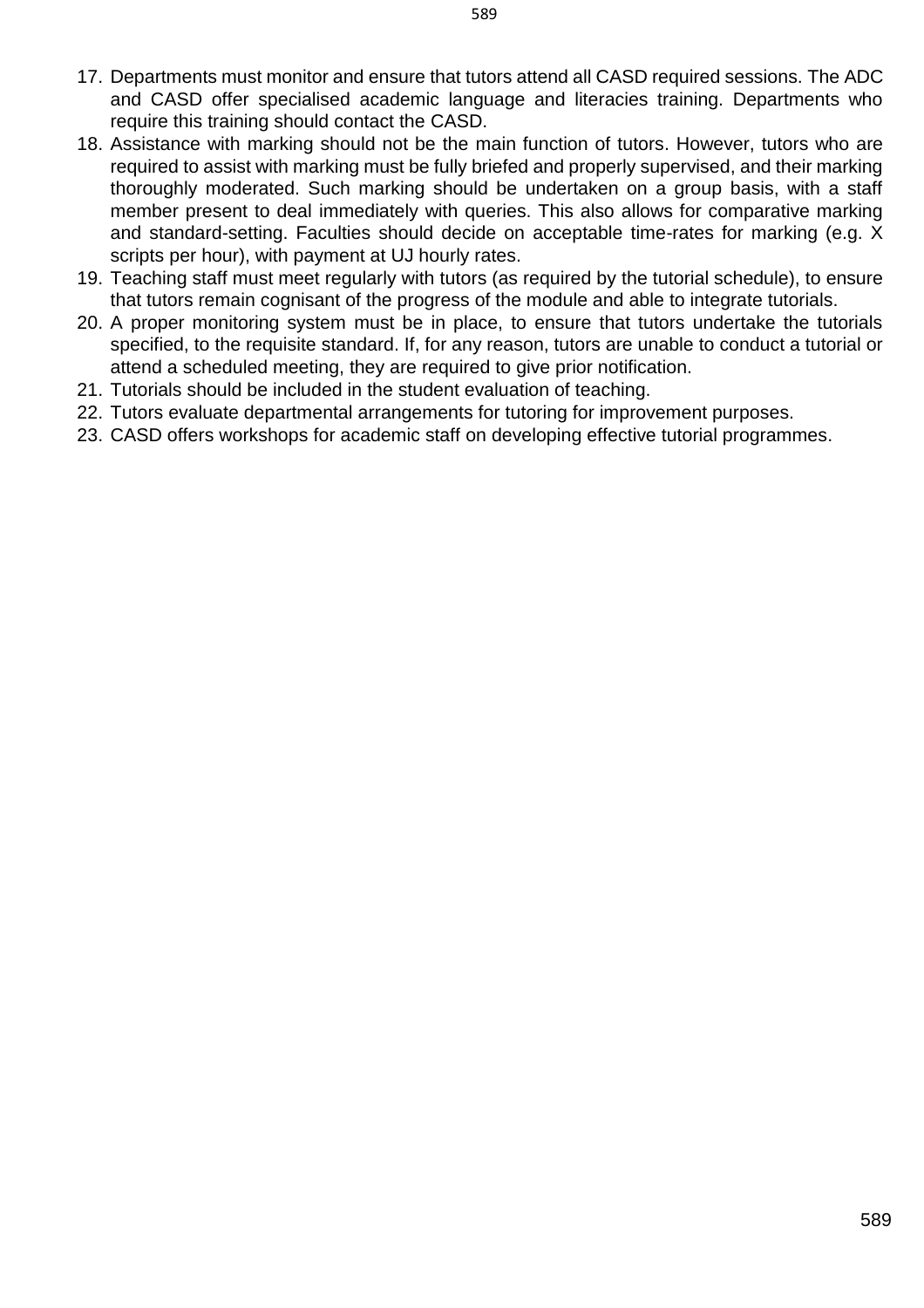- 17. Departments must monitor and ensure that tutors attend all CASD required sessions. The ADC and CASD offer specialised academic language and literacies training. Departments who require this training should contact the CASD.
- 18. Assistance with marking should not be the main function of tutors. However, tutors who are required to assist with marking must be fully briefed and properly supervised, and their marking thoroughly moderated. Such marking should be undertaken on a group basis, with a staff member present to deal immediately with queries. This also allows for comparative marking and standard-setting. Faculties should decide on acceptable time-rates for marking (e.g. X scripts per hour), with payment at UJ hourly rates.
- 19. Teaching staff must meet regularly with tutors (as required by the tutorial schedule), to ensure that tutors remain cognisant of the progress of the module and able to integrate tutorials.
- 20. A proper monitoring system must be in place, to ensure that tutors undertake the tutorials specified, to the requisite standard. If, for any reason, tutors are unable to conduct a tutorial or attend a scheduled meeting, they are required to give prior notification.
- 21. Tutorials should be included in the student evaluation of teaching.
- 22. Tutors evaluate departmental arrangements for tutoring for improvement purposes.
- 23. CASD offers workshops for academic staff on developing effective tutorial programmes.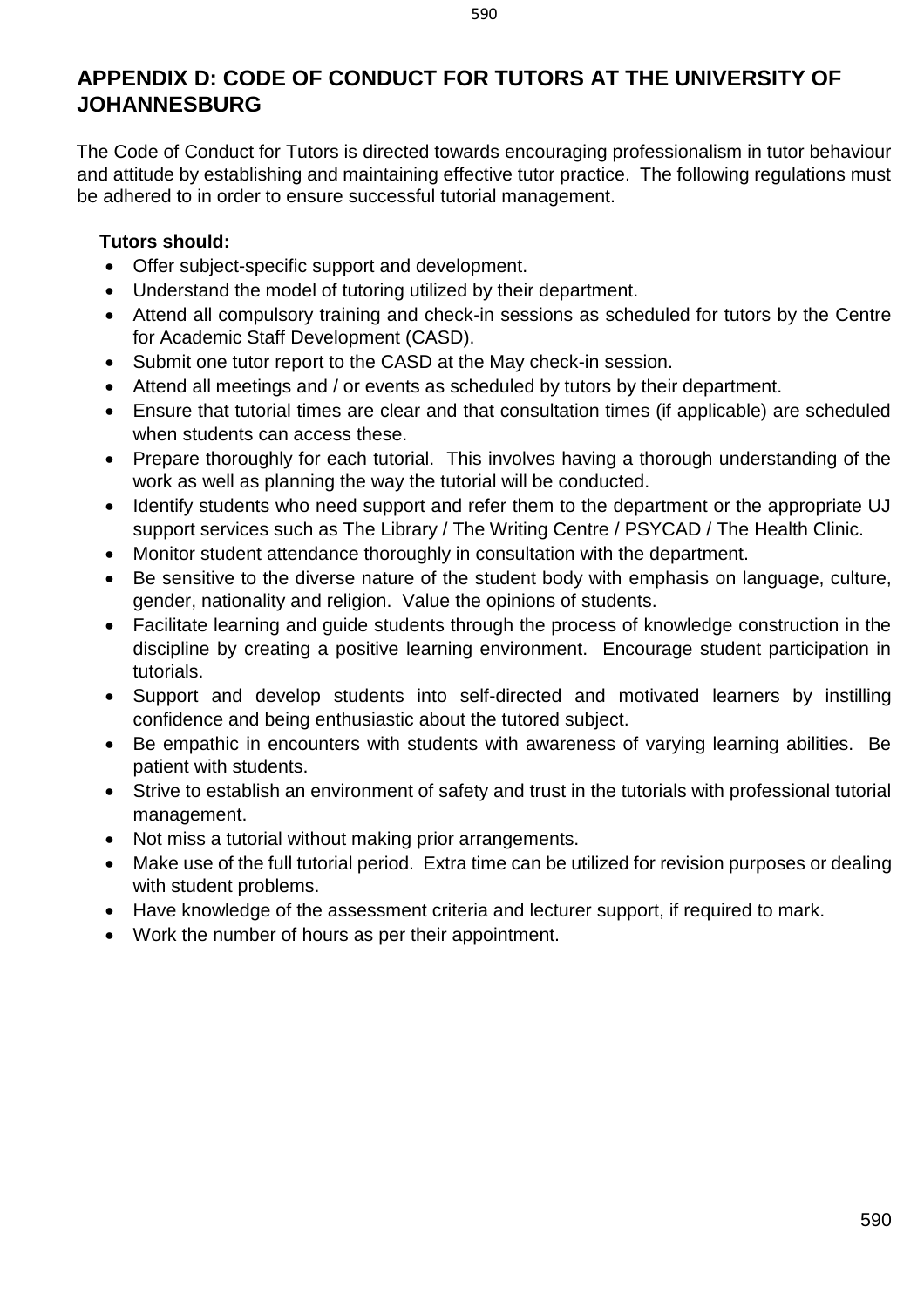# <span id="page-11-0"></span>**APPENDIX D: CODE OF CONDUCT FOR TUTORS AT THE UNIVERSITY OF JOHANNESBURG**

The Code of Conduct for Tutors is directed towards encouraging professionalism in tutor behaviour and attitude by establishing and maintaining effective tutor practice. The following regulations must be adhered to in order to ensure successful tutorial management.

#### **Tutors should:**

- Offer subject-specific support and development.
- Understand the model of tutoring utilized by their department.
- Attend all compulsory training and check-in sessions as scheduled for tutors by the Centre for Academic Staff Development (CASD).
- Submit one tutor report to the CASD at the May check-in session.
- Attend all meetings and / or events as scheduled by tutors by their department.
- Ensure that tutorial times are clear and that consultation times (if applicable) are scheduled when students can access these.
- Prepare thoroughly for each tutorial. This involves having a thorough understanding of the work as well as planning the way the tutorial will be conducted.
- Identify students who need support and refer them to the department or the appropriate UJ support services such as The Library / The Writing Centre / PSYCAD / The Health Clinic.
- Monitor student attendance thoroughly in consultation with the department.
- Be sensitive to the diverse nature of the student body with emphasis on language, culture, gender, nationality and religion. Value the opinions of students.
- Facilitate learning and guide students through the process of knowledge construction in the discipline by creating a positive learning environment. Encourage student participation in tutorials.
- Support and develop students into self-directed and motivated learners by instilling confidence and being enthusiastic about the tutored subject.
- Be empathic in encounters with students with awareness of varying learning abilities. Be patient with students.
- Strive to establish an environment of safety and trust in the tutorials with professional tutorial management.
- Not miss a tutorial without making prior arrangements.
- Make use of the full tutorial period. Extra time can be utilized for revision purposes or dealing with student problems.
- Have knowledge of the assessment criteria and lecturer support, if required to mark.
- Work the number of hours as per their appointment.